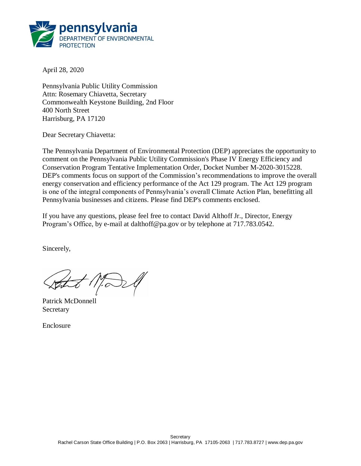

April 28, 2020

Pennsylvania Public Utility Commission Attn: Rosemary Chiavetta, Secretary Commonwealth Keystone Building, 2nd Floor 400 North Street Harrisburg, PA 17120

Dear Secretary Chiavetta:

The Pennsylvania Department of Environmental Protection (DEP) appreciates the opportunity to comment on the Pennsylvania Public Utility Commission's Phase IV Energy Efficiency and Conservation Program Tentative Implementation Order, Docket Number M-2020-3015228. DEP's comments focus on support of the Commission's recommendations to improve the overall energy conservation and efficiency performance of the Act 129 program. The Act 129 program is one of the integral components of Pennsylvania's overall Climate Action Plan, benefitting all Pennsylvania businesses and citizens. Please find DEP's comments enclosed.

If you have any questions, please feel free to contact David Althoff Jr., Director, Energy Program's Office, by e-mail at dalthoff@pa.gov or by telephone at 717.783.0542.

Sincerely,

Patrick McDonnell **Secretary** 

Enclosure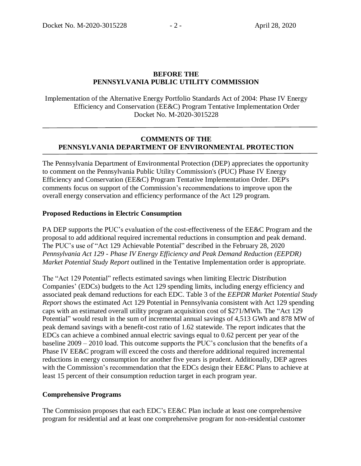### **BEFORE THE PENNSYLVANIA PUBLIC UTILITY COMMISSION**

Implementation of the Alternative Energy Portfolio Standards Act of 2004: Phase IV Energy Efficiency and Conservation (EE&C) Program Tentative Implementation Order Docket No. M-2020-3015228

### **COMMENTS OF THE PENNSYLVANIA DEPARTMENT OF ENVIRONMENTAL PROTECTION**

The Pennsylvania Department of Environmental Protection (DEP) appreciates the opportunity to comment on the Pennsylvania Public Utility Commission's (PUC) Phase IV Energy Efficiency and Conservation (EE&C) Program Tentative Implementation Order. DEP's comments focus on support of the Commission's recommendations to improve upon the overall energy conservation and efficiency performance of the Act 129 program.

### **Proposed Reductions in Electric Consumption**

PA DEP supports the PUC's evaluation of the cost-effectiveness of the EE&C Program and the proposal to add additional required incremental reductions in consumption and peak demand. The PUC's use of "Act 129 Achievable Potential" described in the February 28, 2020 *Pennsylvania Act 129 - Phase IV Energy Efficiency and Peak Demand Reduction (EEPDR) Market Potential Study Report* outlined in the Tentative Implementation order is appropriate.

The "Act 129 Potential" reflects estimated savings when limiting Electric Distribution Companies' (EDCs) budgets to the Act 129 spending limits, including energy efficiency and associated peak demand reductions for each EDC. Table 3 of the *EEPDR Market Potential Study Report* shows the estimated Act 129 Potential in Pennsylvania consistent with Act 129 spending caps with an estimated overall utility program acquisition cost of \$271/MWh. The "Act 129 Potential" would result in the sum of incremental annual savings of 4,513 GWh and 878 MW of peak demand savings with a benefit-cost ratio of 1.62 statewide. The report indicates that the EDCs can achieve a combined annual electric savings equal to 0.62 percent per year of the baseline 2009 – 2010 load. This outcome supports the PUC's conclusion that the benefits of a Phase IV EE&C program will exceed the costs and therefore additional required incremental reductions in energy consumption for another five years is prudent. Additionally, DEP agrees with the Commission's recommendation that the EDCs design their EE&C Plans to achieve at least 15 percent of their consumption reduction target in each program year.

### **Comprehensive Programs**

The Commission proposes that each EDC's EE&C Plan include at least one comprehensive program for residential and at least one comprehensive program for non-residential customer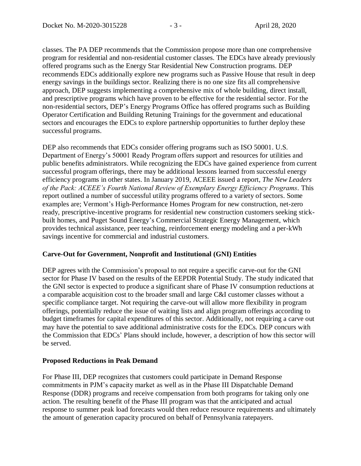classes. The PA DEP recommends that the Commission propose more than one comprehensive program for residential and non-residential customer classes. The EDCs have already previously offered programs such as the Energy Star Residential New Construction programs. DEP recommends EDCs additionally explore new programs such as Passive House that result in deep energy savings in the buildings sector. Realizing there is no one size fits all comprehensive approach, DEP suggests implementing a comprehensive mix of whole building, direct install, and prescriptive programs which have proven to be effective for the residential sector. For the non-residential sectors, DEP's Energy Programs Office has offered programs such as Building Operator Certification and Building Retuning Trainings for the government and educational sectors and encourages the EDCs to explore partnership opportunities to further deploy these successful programs.

DEP also recommends that EDCs consider offering programs such as ISO 50001. U.S. Department of Energy's 50001 Ready Program offers support and resources for utilities and public benefits administrators. While recognizing the EDCs have gained experience from current successful program offerings, there may be additional lessons learned from successful energy efficiency programs in other states. In January 2019, ACEEE issued a report, *The New Leaders of the Pack: ACEEE's Fourth National Review of Exemplary Energy Efficiency Programs.* This report outlined a number of successful utility programs offered to a variety of sectors. Some examples are; Vermont's High-Performance Homes Program for new construction, net-zero ready, prescriptive-incentive programs for residential new construction customers seeking stickbuilt homes, and Puget Sound Energy's Commercial Strategic Energy Management, which provides technical assistance, peer teaching, reinforcement energy modeling and a per-kWh savings incentive for commercial and industrial customers.

## **Carve-Out for Government, Nonprofit and Institutional (GNI) Entities**

DEP agrees with the Commission's proposal to not require a specific carve-out for the GNI sector for Phase IV based on the results of the EEPDR Potential Study. The study indicated that the GNI sector is expected to produce a significant share of Phase IV consumption reductions at a comparable acquisition cost to the broader small and large C&I customer classes without a specific compliance target. Not requiring the carve-out will allow more flexibility in program offerings, potentially reduce the issue of waiting lists and align program offerings according to budget timeframes for capital expenditures of this sector. Additionally, not requiring a carve out may have the potential to save additional administrative costs for the EDCs. DEP concurs with the Commission that EDCs' Plans should include, however, a description of how this sector will be served.

### **Proposed Reductions in Peak Demand**

For Phase III, DEP recognizes that customers could participate in Demand Response commitments in PJM's capacity market as well as in the Phase III Dispatchable Demand Response (DDR) programs and receive compensation from both programs for taking only one action. The resulting benefit of the Phase III program was that the anticipated and actual response to summer peak load forecasts would then reduce resource requirements and ultimately the amount of generation capacity procured on behalf of Pennsylvania ratepayers.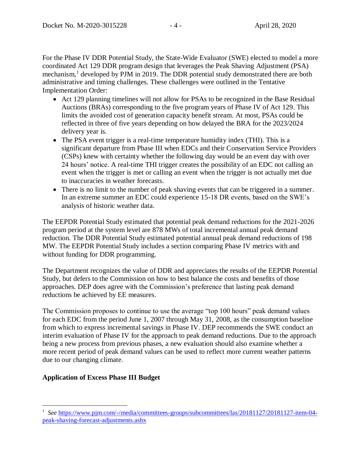For the Phase IV DDR Potential Study, the State-Wide Evaluator (SWE) elected to model a more coordinated Act 129 DDR program design that leverages the Peak Shaving Adjustment (PSA) mechanism,<sup>1</sup> developed by PJM in 2019. The DDR potential study demonstrated there are both administrative and timing challenges. These challenges were outlined in the Tentative Implementation Order:

- Act 129 planning timelines will not allow for PSAs to be recognized in the Base Residual Auctions (BRAs) corresponding to the five program years of Phase IV of Act 129. This limits the avoided cost of generation capacity benefit stream. At most, PSAs could be reflected in three of five years depending on how delayed the BRA for the 2023/2024 delivery year is.
- The PSA event trigger is a real-time temperature humidity index (THI). This is a significant departure from Phase III when EDCs and their Conservation Service Providers (CSPs) knew with certainty whether the following day would be an event day with over 24 hours' notice. A real-time THI trigger creates the possibility of an EDC not calling an event when the trigger is met or calling an event when the trigger is not actually met due to inaccuracies in weather forecasts.
- There is no limit to the number of peak shaving events that can be triggered in a summer. In an extreme summer an EDC could experience 15-18 DR events, based on the SWE's analysis of historic weather data.

The EEPDR Potential Study estimated that potential peak demand reductions for the 2021-2026 program period at the system level are 878 MWs of total incremental annual peak demand reduction. The DDR Potential Study estimated potential annual peak demand reductions of 198 MW. The EEPDR Potential Study includes a section comparing Phase IV metrics with and without funding for DDR programming.

The Department recognizes the value of DDR and appreciates the results of the EEPDR Potential Study, but defers to the Commission on how to best balance the costs and benefits of those approaches. DEP does agree with the Commission's preference that lasting peak demand reductions be achieved by EE measures.

The Commission proposes to continue to use the average "top 100 hours" peak demand values for each EDC from the period June 1, 2007 through May 31, 2008, as the consumption baseline from which to express incremental savings in Phase IV. DEP recommends the SWE conduct an interim evaluation of Phase IV for the approach to peak demand reductions. Due to the approach being a new process from previous phases, a new evaluation should also examine whether a more recent period of peak demand values can be used to reflect more current weather patterns due to our changing climate.

# **Application of Excess Phase III Budget**

 $\overline{a}$ 

<sup>&</sup>lt;sup>1</sup> See [https://www.pjm.com/-/media/committees-groups/subcommittees/las/20181127/20181127-item-04](https://www.pjm.com/-/media/committees-groups/subcommittees/las/20181127/20181127-item-04-peak-shaving-forecast-adjustments.ashx) [peak-shaving-forecast-adjustments.ashx](https://www.pjm.com/-/media/committees-groups/subcommittees/las/20181127/20181127-item-04-peak-shaving-forecast-adjustments.ashx)